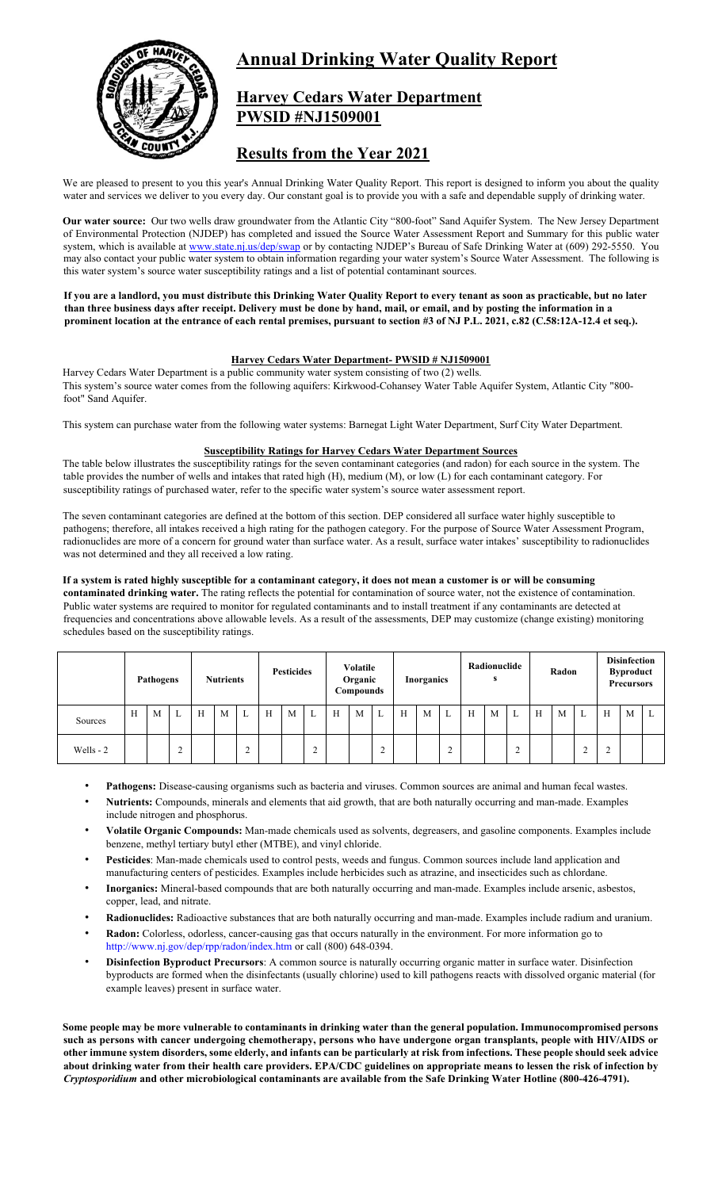

# **Annual Drinking Water Quality Report**

## **Harvey Cedars Water Department PWSID #NJ1509001**

## **Results from the Year 2021**

We are pleased to present to you this year's Annual Drinking Water Quality Report. This report is designed to inform you about the quality water and services we deliver to you every day. Our constant goal is to provide you with a safe and dependable supply of drinking water.

**Our water source:** Our two wells draw groundwater from the Atlantic City "800-foot" Sand Aquifer System. The New Jersey Department of Environmental Protection (NJDEP) has completed and issued the Source Water Assessment Report and Summary for this public water system, which is available at www.state.nj.us/dep/swap or by contacting NJDEP's Bureau of Safe Drinking Water at (609) 292-5550. You may also contact your public water system to obtain information regarding your water system's Source Water Assessment. The following is this water system's source water susceptibility ratings and a list of potential contaminant sources.

**If you are a landlord, you must distribute this Drinking Water Quality Report to every tenant as soon as practicable, but no later than three business days after receipt. Delivery must be done by hand, mail, or email, and by posting the information in a prominent location at the entrance of each rental premises, pursuant to section #3 of NJ P.L. 2021, c.82 (C.58:12A-12.4 et seq.).** 

## **Harvey Cedars Water Department- PWSID # NJ1509001**

Harvey Cedars Water Department is a public community water system consisting of two (2) wells. This system's source water comes from the following aquifers: Kirkwood-Cohansey Water Table Aquifer System, Atlantic City "800 foot" Sand Aquifer.

This system can purchase water from the following water systems: Barnegat Light Water Department, Surf City Water Department.

## **Susceptibility Ratings for Harvey Cedars Water Department Sources**

The table below illustrates the susceptibility ratings for the seven contaminant categories (and radon) for each source in the system. The table provides the number of wells and intakes that rated high (H), medium (M), or low (L) for each contaminant category. For susceptibility ratings of purchased water, refer to the specific water system's source water assessment report.

The seven contaminant categories are defined at the bottom of this section. DEP considered all surface water highly susceptible to pathogens; therefore, all intakes received a high rating for the pathogen category. For the purpose of Source Water Assessment Program, radionuclides are more of a concern for ground water than surface water. As a result, surface water intakes' susceptibility to radionuclides was not determined and they all received a low rating.

#### **If a system is rated highly susceptible for a contaminant category, it does not mean a customer is or will be consuming contaminated drinking water.** The rating reflects the potential for contamination of source water, not the existence of contamination.

Public water systems are required to monitor for regulated contaminants and to install treatment if any contaminants are detected at frequencies and concentrations above allowable levels. As a result of the assessments, DEP may customize (change existing) monitoring schedules based on the susceptibility ratings.

|           | Pathogens |   | <b>Nutrients</b> |   | <b>Pesticides</b> |                   | Volatile<br>Organic<br>Compounds |   | <b>Inorganics</b> |   | Radionuclide<br>s |                          | Radon |   | <b>Disinfection</b><br><b>Byproduct</b><br><b>Precursors</b> |   |   |             |   |   |   |        |   |   |
|-----------|-----------|---|------------------|---|-------------------|-------------------|----------------------------------|---|-------------------|---|-------------------|--------------------------|-------|---|--------------------------------------------------------------|---|---|-------------|---|---|---|--------|---|---|
| Sources   | H         | M | ∸                | H | M                 | $\mathbf{r}$<br>⊥ | H                                | M | L                 | H | M                 | L                        | H     | M | L                                                            | H | M | ⊷           | H | M | L | H      | M | ⊥ |
| Wells - 2 |           |   | $\sim$           |   |                   | $\sim$            |                                  |   | $\sim$            |   |                   | $\sim$<br>$\overline{ }$ |       |   | $\mathcal{L}$<br>∠                                           |   |   | $\sim$<br>∠ |   |   | ◠ | $\sim$ |   |   |

- Pathogens: Disease-causing organisms such as bacteria and viruses. Common sources are animal and human fecal wastes.
- **Nutrients:** Compounds, minerals and elements that aid growth, that are both naturally occurring and man-made. Examples include nitrogen and phosphorus.
- **Volatile Organic Compounds:** Man-made chemicals used as solvents, degreasers, and gasoline components. Examples include benzene, methyl tertiary butyl ether (MTBE), and vinyl chloride.
- **Pesticides**: Man-made chemicals used to control pests, weeds and fungus. Common sources include land application and manufacturing centers of pesticides. Examples include herbicides such as atrazine, and insecticides such as chlordane.
- **Inorganics:** Mineral-based compounds that are both naturally occurring and man-made. Examples include arsenic, asbestos, copper, lead, and nitrate.
- **Radionuclides:** Radioactive substances that are both naturally occurring and man-made. Examples include radium and uranium.
- **Radon:** Colorless, odorless, cancer-causing gas that occurs naturally in the environment. For more information go to http://www.nj.gov/dep/rpp/radon/index.htm or call (800) 648-0394.
- **Disinfection Byproduct Precursors**: A common source is naturally occurring organic matter in surface water. Disinfection byproducts are formed when the disinfectants (usually chlorine) used to kill pathogens reacts with dissolved organic material (for example leaves) present in surface water.

**Some people may be more vulnerable to contaminants in drinking water than the general population. Immunocompromised persons such as persons with cancer undergoing chemotherapy, persons who have undergone organ transplants, people with HIV/AIDS or other immune system disorders, some elderly, and infants can be particularly at risk from infections. These people should seek advice about drinking water from their health care providers. EPA/CDC guidelines on appropriate means to lessen the risk of infection by**  *Cryptosporidium* **and other microbiological contaminants are available from the Safe Drinking Water Hotline (800-426-4791).**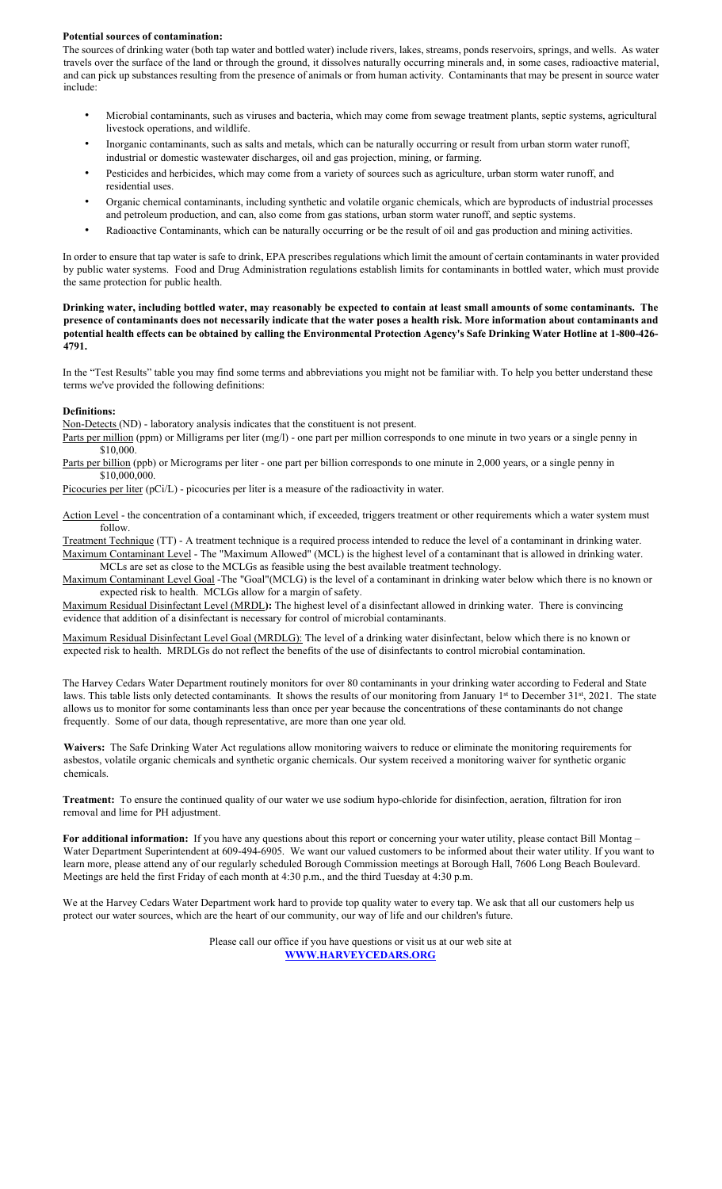#### **Potential sources of contamination:**

The sources of drinking water (both tap water and bottled water) include rivers, lakes, streams, ponds reservoirs, springs, and wells. As water travels over the surface of the land or through the ground, it dissolves naturally occurring minerals and, in some cases, radioactive material, and can pick up substances resulting from the presence of animals or from human activity. Contaminants that may be present in source water include:

- Microbial contaminants, such as viruses and bacteria, which may come from sewage treatment plants, septic systems, agricultural livestock operations, and wildlife.
- Inorganic contaminants, such as salts and metals, which can be naturally occurring or result from urban storm water runoff, industrial or domestic wastewater discharges, oil and gas projection, mining, or farming.
- Pesticides and herbicides, which may come from a variety of sources such as agriculture, urban storm water runoff, and residential uses.
- Organic chemical contaminants, including synthetic and volatile organic chemicals, which are byproducts of industrial processes and petroleum production, and can, also come from gas stations, urban storm water runoff, and septic systems.
- Radioactive Contaminants, which can be naturally occurring or be the result of oil and gas production and mining activities.

In order to ensure that tap water is safe to drink, EPA prescribes regulations which limit the amount of certain contaminants in water provided by public water systems. Food and Drug Administration regulations establish limits for contaminants in bottled water, which must provide the same protection for public health.

**Drinking water, including bottled water, may reasonably be expected to contain at least small amounts of some contaminants. The presence of contaminants does not necessarily indicate that the water poses a health risk. More information about contaminants and potential health effects can be obtained by calling the Environmental Protection Agency's Safe Drinking Water Hotline at 1-800-426- 4791.** 

In the "Test Results" table you may find some terms and abbreviations you might not be familiar with. To help you better understand these terms we've provided the following definitions:

#### **Definitions:**

Non-Detects (ND) - laboratory analysis indicates that the constituent is not present.

- Parts per million (ppm) or Milligrams per liter (mg/l) one part per million corresponds to one minute in two years or a single penny in \$10,000.
- Parts per billion (ppb) or Micrograms per liter one part per billion corresponds to one minute in 2,000 years, or a single penny in \$10,000,000.

Picocuries per liter (pCi/L) - picocuries per liter is a measure of the radioactivity in water.

Action Level - the concentration of a contaminant which, if exceeded, triggers treatment or other requirements which a water system must follow.

Treatment Technique (TT) - A treatment technique is a required process intended to reduce the level of a contaminant in drinking water. Maximum Contaminant Level - The "Maximum Allowed" (MCL) is the highest level of a contaminant that is allowed in drinking water. MCLs are set as close to the MCLGs as feasible using the best available treatment technology.

Maximum Contaminant Level Goal -The "Goal"(MCLG) is the level of a contaminant in drinking water below which there is no known or expected risk to health. MCLGs allow for a margin of safety.

Maximum Residual Disinfectant Level (MRDL**):** The highest level of a disinfectant allowed in drinking water. There is convincing evidence that addition of a disinfectant is necessary for control of microbial contaminants.

Maximum Residual Disinfectant Level Goal (MRDLG): The level of a drinking water disinfectant, below which there is no known or expected risk to health. MRDLGs do not reflect the benefits of the use of disinfectants to control microbial contamination.

The Harvey Cedars Water Department routinely monitors for over 80 contaminants in your drinking water according to Federal and State laws. This table lists only detected contaminants. It shows the results of our monitoring from January 1<sup>st</sup> to December 31<sup>st</sup>, 2021. The state allows us to monitor for some contaminants less than once per year because the concentrations of these contaminants do not change frequently. Some of our data, though representative, are more than one year old.

**Waivers:** The Safe Drinking Water Act regulations allow monitoring waivers to reduce or eliminate the monitoring requirements for asbestos, volatile organic chemicals and synthetic organic chemicals. Our system received a monitoring waiver for synthetic organic chemicals.

**Treatment:** To ensure the continued quality of our water we use sodium hypo-chloride for disinfection, aeration, filtration for iron removal and lime for PH adjustment.

**For additional information:** If you have any questions about this report or concerning your water utility, please contact Bill Montag – Water Department Superintendent at 609-494-6905. We want our valued customers to be informed about their water utility. If you want to learn more, please attend any of our regularly scheduled Borough Commission meetings at Borough Hall, 7606 Long Beach Boulevard. Meetings are held the first Friday of each month at 4:30 p.m., and the third Tuesday at 4:30 p.m.

We at the Harvey Cedars Water Department work hard to provide top quality water to every tap. We ask that all our customers help us protect our water sources, which are the heart of our community, our way of life and our children's future.

> Please call our office if you have questions or visit us at our web site at **WWW.HARVEYCEDARS.ORG**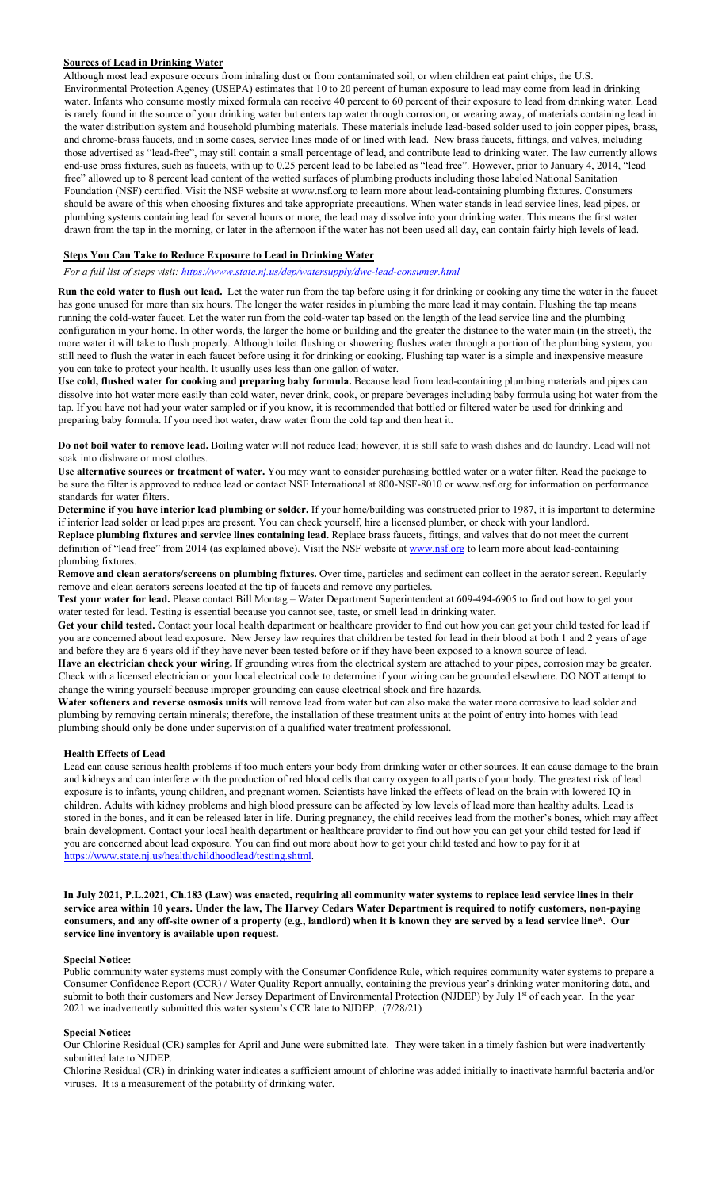### **Sources of Lead in Drinking Water**

Although most lead exposure occurs from inhaling dust or from contaminated soil, or when children eat paint chips, the U.S. Environmental Protection Agency (USEPA) estimates that 10 to 20 percent of human exposure to lead may come from lead in drinking water. Infants who consume mostly mixed formula can receive 40 percent to 60 percent of their exposure to lead from drinking water. Lead is rarely found in the source of your drinking water but enters tap water through corrosion, or wearing away, of materials containing lead in the water distribution system and household plumbing materials. These materials include lead-based solder used to join copper pipes, brass, and chrome-brass faucets, and in some cases, service lines made of or lined with lead. New brass faucets, fittings, and valves, including those advertised as "lead-free", may still contain a small percentage of lead, and contribute lead to drinking water. The law currently allows end-use brass fixtures, such as faucets, with up to 0.25 percent lead to be labeled as "lead free". However, prior to January 4, 2014, "lead free" allowed up to 8 percent lead content of the wetted surfaces of plumbing products including those labeled National Sanitation Foundation (NSF) certified. Visit the NSF website at www.nsf.org to learn more about lead-containing plumbing fixtures. Consumers should be aware of this when choosing fixtures and take appropriate precautions. When water stands in lead service lines, lead pipes, or plumbing systems containing lead for several hours or more, the lead may dissolve into your drinking water. This means the first water drawn from the tap in the morning, or later in the afternoon if the water has not been used all day, can contain fairly high levels of lead.

#### **Steps You Can Take to Reduce Exposure to Lead in Drinking Water**

*For a full list of steps visit: https://www.state.nj.us/dep/watersupply/dwc-lead-consumer.html*

**Run the cold water to flush out lead.** Let the water run from the tap before using it for drinking or cooking any time the water in the faucet has gone unused for more than six hours. The longer the water resides in plumbing the more lead it may contain. Flushing the tap means running the cold-water faucet. Let the water run from the cold-water tap based on the length of the lead service line and the plumbing configuration in your home. In other words, the larger the home or building and the greater the distance to the water main (in the street), the more water it will take to flush properly. Although toilet flushing or showering flushes water through a portion of the plumbing system, you still need to flush the water in each faucet before using it for drinking or cooking. Flushing tap water is a simple and inexpensive measure you can take to protect your health. It usually uses less than one gallon of water.

**Use cold, flushed water for cooking and preparing baby formula.** Because lead from lead-containing plumbing materials and pipes can dissolve into hot water more easily than cold water, never drink, cook, or prepare beverages including baby formula using hot water from the tap. If you have not had your water sampled or if you know, it is recommended that bottled or filtered water be used for drinking and preparing baby formula. If you need hot water, draw water from the cold tap and then heat it.

**Do not boil water to remove lead.** Boiling water will not reduce lead; however, it is still safe to wash dishes and do laundry. Lead will not soak into dishware or most clothes.

**Use alternative sources or treatment of water.** You may want to consider purchasing bottled water or a water filter. Read the package to be sure the filter is approved to reduce lead or contact NSF International at 800-NSF-8010 or www.nsf.org for information on performance standards for water filters.

**Determine if you have interior lead plumbing or solder.** If your home/building was constructed prior to 1987, it is important to determine if interior lead solder or lead pipes are present. You can check yourself, hire a licensed plumber, or check with your landlord. **Replace plumbing fixtures and service lines containing lead.** Replace brass faucets, fittings, and valves that do not meet the current

definition of "lead free" from 2014 (as explained above). Visit the NSF website at www.nsf.org to learn more about lead-containing plumbing fixtures.

**Remove and clean aerators/screens on plumbing fixtures.** Over time, particles and sediment can collect in the aerator screen. Regularly remove and clean aerators screens located at the tip of faucets and remove any particles.

**Test your water for lead.** Please contact Bill Montag – Water Department Superintendent at 609-494-6905 to find out how to get your water tested for lead. Testing is essential because you cannot see, taste, or smell lead in drinking water**.** 

**Get your child tested.** Contact your local health department or healthcare provider to find out how you can get your child tested for lead if you are concerned about lead exposure. New Jersey law requires that children be tested for lead in their blood at both 1 and 2 years of age and before they are 6 years old if they have never been tested before or if they have been exposed to a known source of lead.

**Have an electrician check your wiring.** If grounding wires from the electrical system are attached to your pipes, corrosion may be greater. Check with a licensed electrician or your local electrical code to determine if your wiring can be grounded elsewhere. DO NOT attempt to change the wiring yourself because improper grounding can cause electrical shock and fire hazards.

**Water softeners and reverse osmosis units** will remove lead from water but can also make the water more corrosive to lead solder and plumbing by removing certain minerals; therefore, the installation of these treatment units at the point of entry into homes with lead plumbing should only be done under supervision of a qualified water treatment professional.

#### **Health Effects of Lead**

Lead can cause serious health problems if too much enters your body from drinking water or other sources. It can cause damage to the brain and kidneys and can interfere with the production of red blood cells that carry oxygen to all parts of your body. The greatest risk of lead exposure is to infants, young children, and pregnant women. Scientists have linked the effects of lead on the brain with lowered IQ in children. Adults with kidney problems and high blood pressure can be affected by low levels of lead more than healthy adults. Lead is stored in the bones, and it can be released later in life. During pregnancy, the child receives lead from the mother's bones, which may affect brain development. Contact your local health department or healthcare provider to find out how you can get your child tested for lead if you are concerned about lead exposure. You can find out more about how to get your child tested and how to pay for it at https://www.state.nj.us/health/childhoodlead/testing.shtml.

**In July 2021, P.L.2021, Ch.183 (Law) was enacted, requiring all community water systems to replace lead service lines in their service area within 10 years. Under the law, The Harvey Cedars Water Department is required to notify customers, non-paying consumers, and any off-site owner of a property (e.g., landlord) when it is known they are served by a lead service line\*. Our service line inventory is available upon request.** 

#### **Special Notice:**

Public community water systems must comply with the Consumer Confidence Rule, which requires community water systems to prepare a Consumer Confidence Report (CCR) / Water Quality Report annually, containing the previous year's drinking water monitoring data, and submit to both their customers and New Jersey Department of Environmental Protection (NJDEP) by July 1<sup>st</sup> of each year. In the year 2021 we inadvertently submitted this water system's CCR late to NJDEP. (7/28/21)

### **Special Notice:**

Our Chlorine Residual (CR) samples for April and June were submitted late. They were taken in a timely fashion but were inadvertently submitted late to NJDEP.

Chlorine Residual (CR) in drinking water indicates a sufficient amount of chlorine was added initially to inactivate harmful bacteria and/or viruses. It is a measurement of the potability of drinking water.